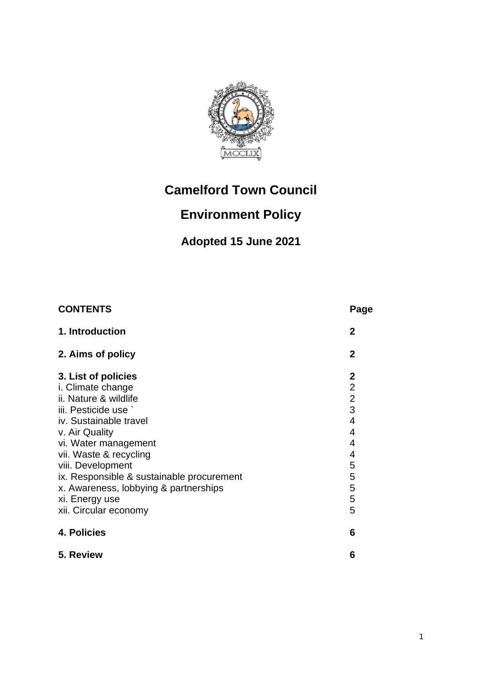

# **Camelford Town Council**

## **Environment Policy**

## **Adopted 15 June 2021**

| <b>CONTENTS</b>                                                                                                                                                                                                                                                                                                      | Page                                                                                          |
|----------------------------------------------------------------------------------------------------------------------------------------------------------------------------------------------------------------------------------------------------------------------------------------------------------------------|-----------------------------------------------------------------------------------------------|
| 1. Introduction                                                                                                                                                                                                                                                                                                      | $\mathbf{2}$                                                                                  |
| 2. Aims of policy                                                                                                                                                                                                                                                                                                    | $\mathbf{2}$                                                                                  |
| 3. List of policies<br>i. Climate change<br>ii. Nature & wildlife<br>iii. Pesticide use `<br>iv. Sustainable travel<br>v. Air Quality<br>vi. Water management<br>vii. Waste & recycling<br>viii. Development<br>ix. Responsible & sustainable procurement<br>x. Awareness, lobbying & partnerships<br>xi. Energy use | $\mathbf{2}$<br>$\overline{2}$<br>$\overline{2}$<br>3<br>4<br>4<br>4<br>4<br>5<br>5<br>5<br>5 |
| xii. Circular economy                                                                                                                                                                                                                                                                                                | 5                                                                                             |
| 4. Policies                                                                                                                                                                                                                                                                                                          | 6                                                                                             |
| 5. Review                                                                                                                                                                                                                                                                                                            | 6                                                                                             |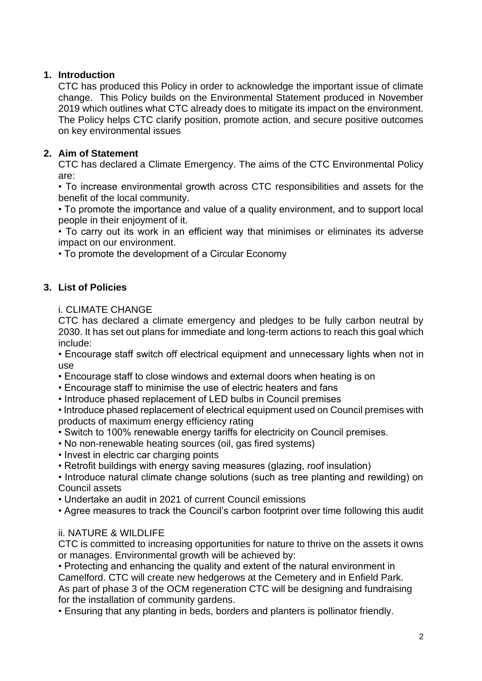## **1. Introduction**

CTC has produced this Policy in order to acknowledge the important issue of climate change. This Policy builds on the Environmental Statement produced in November 2019 which outlines what CTC already does to mitigate its impact on the environment. The Policy helps CTC clarify position, promote action, and secure positive outcomes on key environmental issues

## **2. Aim of Statement**

CTC has declared a Climate Emergency. The aims of the CTC Environmental Policy are:

• To increase environmental growth across CTC responsibilities and assets for the benefit of the local community.

• To promote the importance and value of a quality environment, and to support local people in their enjoyment of it.

• To carry out its work in an efficient way that minimises or eliminates its adverse impact on our environment.

• To promote the development of a Circular Economy

## **3. List of Policies**

#### i. CLIMATE CHANGE

CTC has declared a climate emergency and pledges to be fully carbon neutral by 2030. It has set out plans for immediate and long-term actions to reach this goal which include:

• Encourage staff switch off electrical equipment and unnecessary lights when not in use

- Encourage staff to close windows and external doors when heating is on
- Encourage staff to minimise the use of electric heaters and fans
- Introduce phased replacement of LED bulbs in Council premises

• Introduce phased replacement of electrical equipment used on Council premises with products of maximum energy efficiency rating

- Switch to 100% renewable energy tariffs for electricity on Council premises.
- No non-renewable heating sources (oil, gas fired systems)
- Invest in electric car charging points
- Retrofit buildings with energy saving measures (glazing, roof insulation)

• Introduce natural climate change solutions (such as tree planting and rewilding) on Council assets

• Undertake an audit in 2021 of current Council emissions

• Agree measures to track the Council's carbon footprint over time following this audit

## ii. NATURE & WILDLIFE

CTC is committed to increasing opportunities for nature to thrive on the assets it owns or manages. Environmental growth will be achieved by:

• Protecting and enhancing the quality and extent of the natural environment in Camelford. CTC will create new hedgerows at the Cemetery and in Enfield Park. As part of phase 3 of the OCM regeneration CTC will be designing and fundraising for the installation of community gardens.

• Ensuring that any planting in beds, borders and planters is pollinator friendly.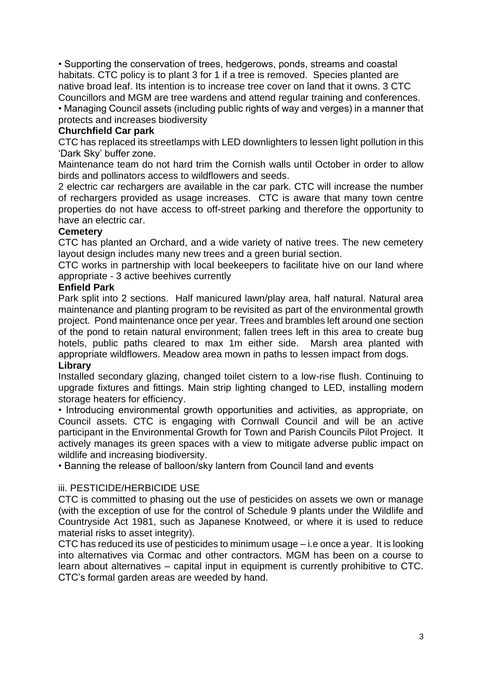• Supporting the conservation of trees, hedgerows, ponds, streams and coastal habitats. CTC policy is to plant 3 for 1 if a tree is removed. Species planted are native broad leaf. Its intention is to increase tree cover on land that it owns. 3 CTC Councillors and MGM are tree wardens and attend regular training and conferences.

• Managing Council assets (including public rights of way and verges) in a manner that protects and increases biodiversity

#### **Churchfield Car park**

CTC has replaced its streetlamps with LED downlighters to lessen light pollution in this 'Dark Sky' buffer zone.

Maintenance team do not hard trim the Cornish walls until October in order to allow birds and pollinators access to wildflowers and seeds.

2 electric car rechargers are available in the car park. CTC will increase the number of rechargers provided as usage increases. CTC is aware that many town centre properties do not have access to off-street parking and therefore the opportunity to have an electric car.

#### **Cemetery**

CTC has planted an Orchard, and a wide variety of native trees. The new cemetery layout design includes many new trees and a green burial section.

CTC works in partnership with local beekeepers to facilitate hive on our land where appropriate - 3 active beehives currently

#### **Enfield Park**

Park split into 2 sections. Half manicured lawn/play area, half natural. Natural area maintenance and planting program to be revisited as part of the environmental growth project. Pond maintenance once per year. Trees and brambles left around one section of the pond to retain natural environment; fallen trees left in this area to create bug hotels, public paths cleared to max 1m either side. Marsh area planted with appropriate wildflowers. Meadow area mown in paths to lessen impact from dogs. **Library**

#### Installed secondary glazing, changed toilet cistern to a low-rise flush. Continuing to upgrade fixtures and fittings. Main strip lighting changed to LED, installing modern storage heaters for efficiency.

• Introducing environmental growth opportunities and activities, as appropriate, on Council assets. CTC is engaging with Cornwall Council and will be an active participant in the Environmental Growth for Town and Parish Councils Pilot Project. It actively manages its green spaces with a view to mitigate adverse public impact on wildlife and increasing biodiversity.

• Banning the release of balloon/sky lantern from Council land and events

## iii. PESTICIDE/HERBICIDE USE

CTC is committed to phasing out the use of pesticides on assets we own or manage (with the exception of use for the control of Schedule 9 plants under the Wildlife and Countryside Act 1981, such as Japanese Knotweed, or where it is used to reduce material risks to asset integrity).

CTC has reduced its use of pesticides to minimum usage – i.e once a year. It is looking into alternatives via Cormac and other contractors. MGM has been on a course to learn about alternatives – capital input in equipment is currently prohibitive to CTC. CTC's formal garden areas are weeded by hand.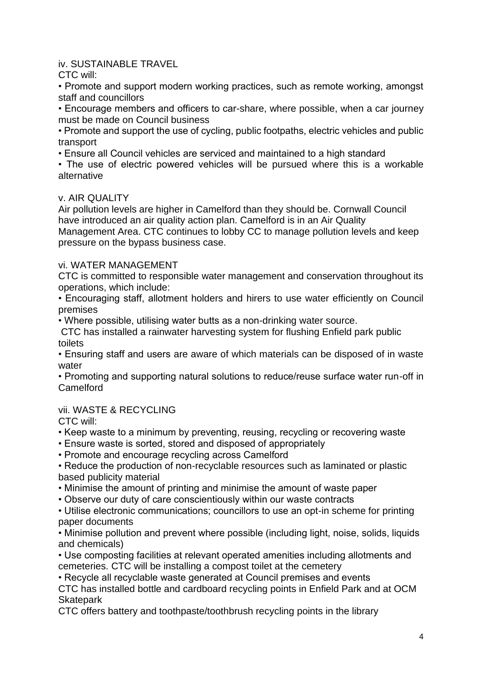## iv. SUSTAINABLE TRAVEL

CTC will:

• Promote and support modern working practices, such as remote working, amongst staff and councillors

• Encourage members and officers to car-share, where possible, when a car journey must be made on Council business

• Promote and support the use of cycling, public footpaths, electric vehicles and public transport

• Ensure all Council vehicles are serviced and maintained to a high standard

• The use of electric powered vehicles will be pursued where this is a workable alternative

#### v. AIR QUALITY

Air pollution levels are higher in Camelford than they should be. Cornwall Council have introduced an air quality action plan. Camelford is in an Air Quality Management Area. CTC continues to lobby CC to manage pollution levels and keep pressure on the bypass business case.

#### vi. WATER MANAGEMENT

CTC is committed to responsible water management and conservation throughout its operations, which include:

• Encouraging staff, allotment holders and hirers to use water efficiently on Council premises

• Where possible, utilising water butts as a non-drinking water source.

CTC has installed a rainwater harvesting system for flushing Enfield park public toilets

• Ensuring staff and users are aware of which materials can be disposed of in waste water

• Promoting and supporting natural solutions to reduce/reuse surface water run-off in Camelford

## vii. WASTE & RECYCLING

CTC will:

• Keep waste to a minimum by preventing, reusing, recycling or recovering waste

• Ensure waste is sorted, stored and disposed of appropriately

• Promote and encourage recycling across Camelford

• Reduce the production of non-recyclable resources such as laminated or plastic based publicity material

• Minimise the amount of printing and minimise the amount of waste paper

• Observe our duty of care conscientiously within our waste contracts

• Utilise electronic communications; councillors to use an opt-in scheme for printing paper documents

• Minimise pollution and prevent where possible (including light, noise, solids, liquids and chemicals)

• Use composting facilities at relevant operated amenities including allotments and cemeteries. CTC will be installing a compost toilet at the cemetery

• Recycle all recyclable waste generated at Council premises and events

CTC has installed bottle and cardboard recycling points in Enfield Park and at OCM **Skatepark** 

CTC offers battery and toothpaste/toothbrush recycling points in the library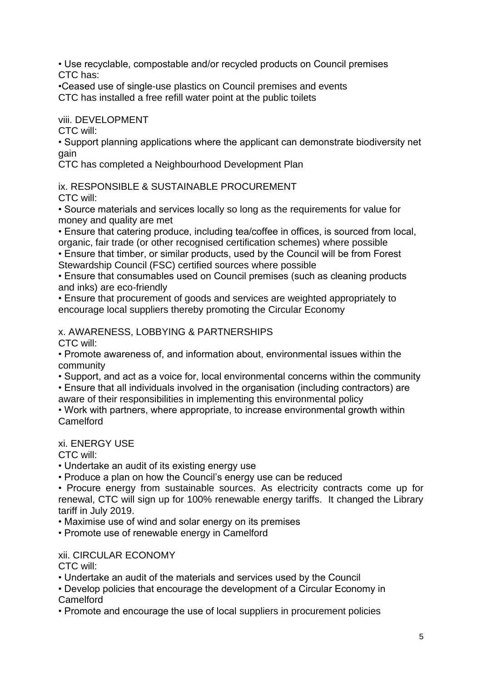• Use recyclable, compostable and/or recycled products on Council premises CTC has:

•Ceased use of single-use plastics on Council premises and events CTC has installed a free refill water point at the public toilets

viii. DEVELOPMENT

CTC will:

• Support planning applications where the applicant can demonstrate biodiversity net gain

CTC has completed a Neighbourhood Development Plan

ix. RESPONSIBLE & SUSTAINABLE PROCUREMENT

CTC will:

• Source materials and services locally so long as the requirements for value for money and quality are met

• Ensure that catering produce, including tea/coffee in offices, is sourced from local,

organic, fair trade (or other recognised certification schemes) where possible • Ensure that timber, or similar products, used by the Council will be from Forest Stewardship Council (FSC) certified sources where possible

• Ensure that consumables used on Council premises (such as cleaning products and inks) are eco-friendly

• Ensure that procurement of goods and services are weighted appropriately to encourage local suppliers thereby promoting the Circular Economy

## x. AWARENESS, LOBBYING & PARTNERSHIPS

CTC will:

• Promote awareness of, and information about, environmental issues within the community

• Support, and act as a voice for, local environmental concerns within the community

• Ensure that all individuals involved in the organisation (including contractors) are aware of their responsibilities in implementing this environmental policy

• Work with partners, where appropriate, to increase environmental growth within Camelford

## xi. ENERGY USE

CTC will:

• Undertake an audit of its existing energy use

• Produce a plan on how the Council's energy use can be reduced

• Procure energy from sustainable sources. As electricity contracts come up for renewal, CTC will sign up for 100% renewable energy tariffs. It changed the Library tariff in July 2019.

• Maximise use of wind and solar energy on its premises

• Promote use of renewable energy in Camelford

## **xii. CIRCULAR ECONOMY**

CTC will:

• Undertake an audit of the materials and services used by the Council

• Develop policies that encourage the development of a Circular Economy in Camelford

• Promote and encourage the use of local suppliers in procurement policies